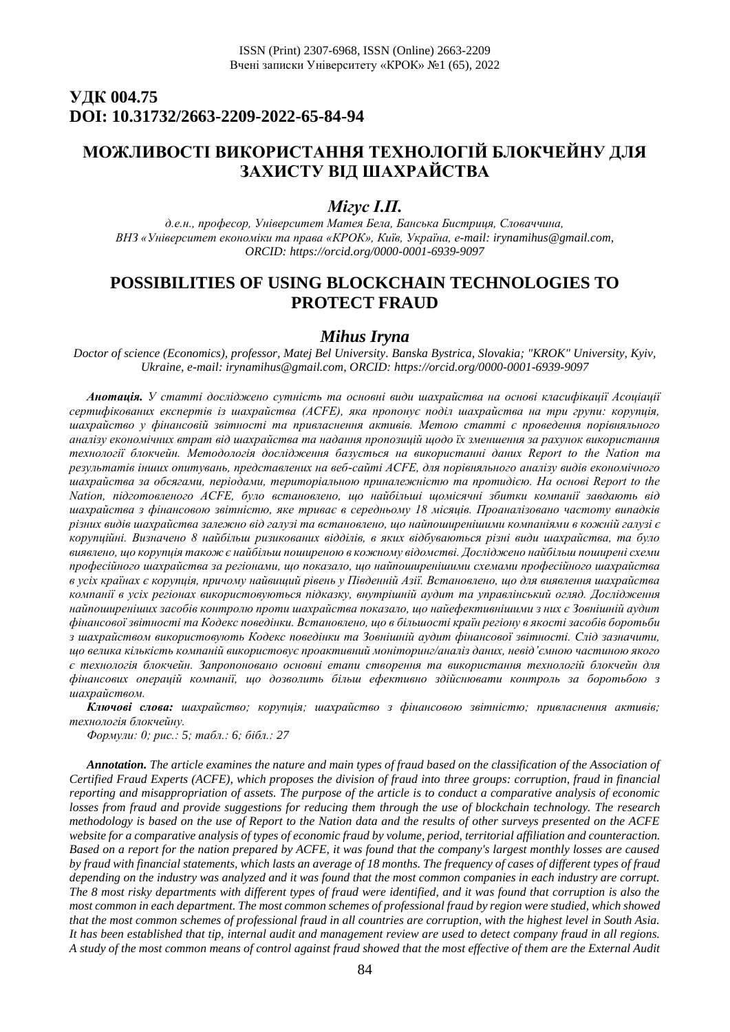# **УДК 004.75 DOI: 10.31732/2663-2209-2022-65-84-94**

# **МОЖЛИВОСТІ ВИКОРИСТАННЯ ТЕХНОЛОГІЙ БЛОКЧЕЙНУ ДЛЯ ЗАХИСТУ ВІД ШАХРАЙСТВА**

### *Мігус І.П.*

*д.е.н., професор, Університет Матея Бела, Банська Бистриця, Словаччина, ВНЗ «Університет економіки та права «КРОК», Київ, Україна, e-mail: [irynamihus@gmail.com,](mailto:irynamihus@gmail.com)  ORCID:<https://orcid.org/0000-0001-6939-9097>*

# **POSSIBILITIES OF USING BLOCKCHAIN TECHNOLOGIES TO PROTECT FRAUD**

### *Mihus Iryna*

*Doctor of science (Economics), professor, Matej Bel University. Banska Bystrica, Slovakia; "KROK" University, Kyiv, Ukraine, e-mail: irynamihus@gmail.com, ORCID: https://orcid.org/0000-0001-6939-9097*

*Анотація. У статті досліджено сутність та основні види шахрайства на основі класифікації Асоціації сертифікованих експертів із шахрайства (ACFE), яка пропонує поділ шахрайства на три групи: корупція, шахрайство у фінансовій звітності та привласнення активів. Метою статті є проведення порівняльного аналізу економічних втрат від шахрайства та надання пропозицій щодо їх зменшення за рахунок використання технології блокчейн. Методологія дослідження базується на використанні даних Report to the Nation та результатів інших опитувань, представлених на веб-сайті ACFE, для порівняльного аналізу видів економічного шахрайства за обсягами, періодами, територіальною приналежністю та протидією. На основі Report to the Nation, підготовленого ACFE, було встановлено, що найбільші щомісячні збитки компанії завдають від шахрайства з фінансовою звітністю, яке триває в середньому 18 місяців. Проаналізовано частоту випадків різних видів шахрайства залежно від галузі та встановлено, що найпоширенішими компаніями в кожній галузі є корупційні. Визначено 8 найбільш ризикованих відділів, в яких відбуваються різні види шахрайства, та було виявлено, що корупція також є найбільш поширеною в кожному відомстві. Досліджено найбільш поширені схеми професійного шахрайства за регіонами, що показало, що найпоширенішими схемами професійного шахрайства в усіх країнах є корупція, причому найвищий рівень у Південній Азії. Встановлено, що для виявлення шахрайства компанії в усіх регіонах використовуються підказку, внутрішній аудит та управлінський огляд. Дослідження найпоширеніших засобів контролю проти шахрайства показало, що найефективнішими з них є Зовнішній аудит фінансової звітності та Кодекс поведінки. Встановлено, що в більшості країн регіону в якості засобів боротьби з шахрайством використовують Кодекс поведінки та Зовнішній аудит фінансової звітності. Слід зазначити, що велика кількість компаній використовує проактивний моніторинг/аналіз даних, невід'ємною частиною якого є технологія блокчейн. Запропоновано основні етапи створення та використання технологій блокчейн для фінансових операцій компанії, що дозволить більш ефективно здійснювати контроль за боротьбою з шахрайством.*

*Ключові слова: шахрайство; корупція; шахрайство з фінансовою звітністю; привласнення активів; технологія блокчейну.*

*Формули: 0; рис.: 5; табл.: 6; бібл.: 27*

*Annotation. The article examines the nature and main types of fraud based on the classification of the Association of Certified Fraud Experts (ACFE), which proposes the division of fraud into three groups: corruption, fraud in financial reporting and misappropriation of assets. The purpose of the article is to conduct a comparative analysis of economic losses from fraud and provide suggestions for reducing them through the use of blockchain technology. The research methodology is based on the use of Report to the Nation data and the results of other surveys presented on the ACFE website for a comparative analysis of types of economic fraud by volume, period, territorial affiliation and counteraction. Based on a report for the nation prepared by ACFE, it was found that the company's largest monthly losses are caused by fraud with financial statements, which lasts an average of 18 months. The frequency of cases of different types of fraud depending on the industry was analyzed and it was found that the most common companies in each industry are corrupt. The 8 most risky departments with different types of fraud were identified, and it was found that corruption is also the most common in each department. The most common schemes of professional fraud by region were studied, which showed that the most common schemes of professional fraud in all countries are corruption, with the highest level in South Asia. It has been established that tip, internal audit and management review are used to detect company fraud in all regions. A study of the most common means of control against fraud showed that the most effective of them are the External Audit*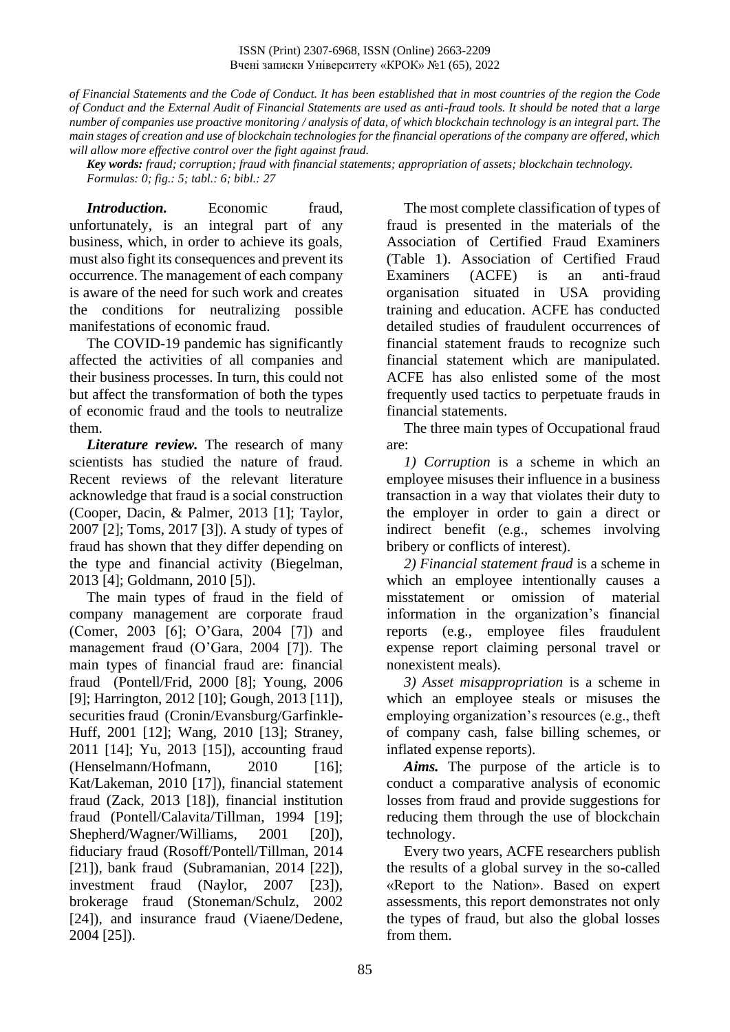*of Financial Statements and the Code of Conduct. It has been established that in most countries of the region the Code of Conduct and the External Audit of Financial Statements are used as anti-fraud tools. It should be noted that a large number of companies use proactive monitoring / analysis of data, of which blockchain technology is an integral part. The main stages of creation and use of blockchain technologies for the financial operations of the company are offered, which will allow more effective control over the fight against fraud.*

*Key words: fraud; corruption; fraud with financial statements; appropriation of assets; blockchain technology. Formulas: 0; fig.: 5; tabl.: 6; bibl.: 27*

*Introduction.* Economic fraud, unfortunately, is an integral part of any business, which, in order to achieve its goals, must also fight its consequences and prevent its occurrence. The management of each company is aware of the need for such work and creates the conditions for neutralizing possible manifestations of economic fraud.

The COVID-19 pandemic has significantly affected the activities of all companies and their business processes. In turn, this could not but affect the transformation of both the types of economic fraud and the tools to neutralize them.

*Literature review.* The research of many scientists has studied the nature of fraud. Recent reviews of the relevant literature acknowledge that fraud is a social construction (Cooper, Dacin, & Palmer, 2013 [1]; Taylor, 2007 [2]; Toms, 2017 [3]). A study of types of fraud has shown that they differ depending on the type and financial activity (Biegelman, 2013 [4]; Goldmann, 2010 [5]).

The main types of fraud in the field of company management are corporate fraud (Comer, 2003 [6]; O'Gara, 2004 [7]) and management fraud (O'Gara, 2004 [7]). The main types of financial fraud are: financial fraud (Pontell/Frid, 2000 [8]; Young, 2006 [9]; Harrington, 2012 [10]; Gough, 2013 [11]), securities fraud (Cronin/Evansburg/Garfinkle-Huff, 2001 [12]; Wang, 2010 [13]; Straney, 2011 [14]; Yu, 2013 [15]), accounting fraud  $(Henselmann/Hofmann, 2010 [16]:$ Kat/Lakeman, 2010 [17]), financial statement fraud (Zack, 2013 [18]), financial institution fraud (Pontell/Calavita/Tillman, 1994 [19]; Shepherd/Wagner/Williams, 2001 [20]), fiduciary fraud (Rosoff/Pontell/Tillman, 2014 [21]), bank fraud (Subramanian, 2014 [22]), investment fraud (Naylor, 2007 [23]), brokerage fraud (Stoneman/Schulz, 2002 [24]), and insurance fraud (Viaene/Dedene, 2004 [25]).

The most complete classification of types of fraud is presented in the materials of the Association of Certified Fraud Examiners (Table 1). Association of Certified Fraud Examiners (ACFE) is an anti-fraud organisation situated in USA providing training and education. ACFE has conducted detailed studies of fraudulent occurrences of financial statement frauds to recognize such financial statement which are manipulated. ACFE has also enlisted some of the most frequently used tactics to perpetuate frauds in financial statements.

The three main types of Occupational fraud are:

*1) Corruption* is a scheme in which an employee misuses their influence in a business transaction in a way that violates their duty to the employer in order to gain a direct or indirect benefit (e.g., schemes involving bribery or conflicts of interest).

*2) Financial statement fraud* is a scheme in which an employee intentionally causes a misstatement or omission of material information in the organization's financial reports (e.g., employee files fraudulent expense report claiming personal travel or nonexistent meals).

*3) Asset misappropriation* is a scheme in which an employee steals or misuses the employing organization's resources (e.g., theft of company cash, false billing schemes, or inflated expense reports).

*Aims.* The purpose of the article is to conduct a comparative analysis of economic losses from fraud and provide suggestions for reducing them through the use of blockchain technology.

Every two years, ACFE researchers publish the results of a global survey in the so-called «Report to the Nation». Based on expert assessments, this report demonstrates not only the types of fraud, but also the global losses from them.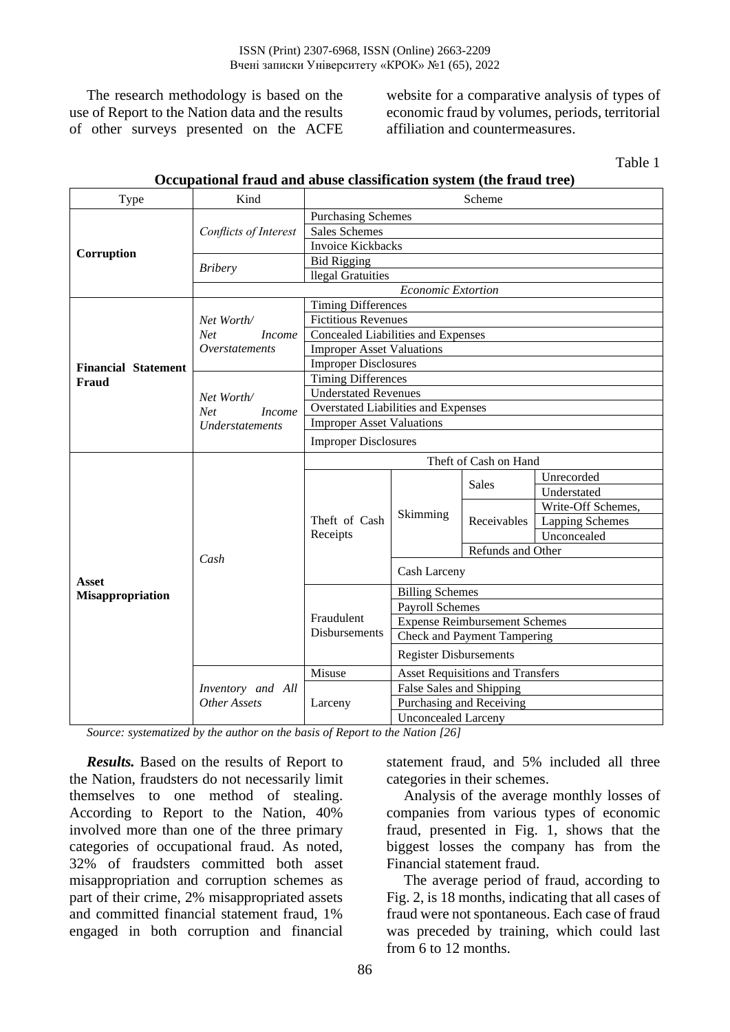The research methodology is based on the use of Report to the Nation data and the results of other surveys presented on the ACFE website for a comparative analysis of types of economic fraud by volumes, periods, territorial affiliation and countermeasures.

Table 1

| Type                       | Kind                        | Scheme                                                   |                                      |                                         |                        |  |  |  |
|----------------------------|-----------------------------|----------------------------------------------------------|--------------------------------------|-----------------------------------------|------------------------|--|--|--|
|                            |                             | <b>Purchasing Schemes</b>                                |                                      |                                         |                        |  |  |  |
|                            | Conflicts of Interest       | Sales Schemes                                            |                                      |                                         |                        |  |  |  |
| Corruption                 |                             | <b>Invoice Kickbacks</b>                                 |                                      |                                         |                        |  |  |  |
|                            | <b>Bribery</b>              | <b>Bid Rigging</b>                                       |                                      |                                         |                        |  |  |  |
|                            |                             | llegal Gratuities                                        |                                      |                                         |                        |  |  |  |
|                            |                             |                                                          | <b>Economic Extortion</b>            |                                         |                        |  |  |  |
|                            |                             | <b>Timing Differences</b>                                |                                      |                                         |                        |  |  |  |
|                            | Net Worth/                  | <b>Fictitious Revenues</b>                               |                                      |                                         |                        |  |  |  |
|                            | <b>Net</b><br><i>Income</i> | Concealed Liabilities and Expenses                       |                                      |                                         |                        |  |  |  |
|                            | Overstatements              | <b>Improper Asset Valuations</b>                         |                                      |                                         |                        |  |  |  |
| <b>Financial Statement</b> |                             | <b>Improper Disclosures</b><br><b>Timing Differences</b> |                                      |                                         |                        |  |  |  |
| <b>Fraud</b>               |                             |                                                          |                                      |                                         |                        |  |  |  |
|                            | Net Worth/                  | <b>Understated Revenues</b>                              |                                      |                                         |                        |  |  |  |
|                            | <b>Net</b><br><i>Income</i> | Overstated Liabilities and Expenses                      |                                      |                                         |                        |  |  |  |
|                            | Understatements             | <b>Improper Asset Valuations</b>                         |                                      |                                         |                        |  |  |  |
|                            |                             | <b>Improper Disclosures</b>                              |                                      |                                         |                        |  |  |  |
|                            |                             | Theft of Cash on Hand                                    |                                      |                                         |                        |  |  |  |
|                            |                             |                                                          | Skimming                             | <b>Sales</b>                            | Unrecorded             |  |  |  |
|                            |                             |                                                          |                                      |                                         | Understated            |  |  |  |
|                            |                             |                                                          |                                      |                                         | Write-Off Schemes,     |  |  |  |
|                            |                             | Theft of Cash<br>Receipts                                |                                      | Receivables                             | <b>Lapping Schemes</b> |  |  |  |
|                            |                             |                                                          |                                      |                                         | Unconcealed            |  |  |  |
|                            | Cash                        |                                                          |                                      | Refunds and Other                       |                        |  |  |  |
| Asset                      |                             |                                                          | Cash Larceny                         |                                         |                        |  |  |  |
| <b>Misappropriation</b>    |                             |                                                          | <b>Billing Schemes</b>               |                                         |                        |  |  |  |
|                            |                             |                                                          | <b>Payroll Schemes</b>               |                                         |                        |  |  |  |
|                            |                             | Fraudulent                                               | <b>Expense Reimbursement Schemes</b> |                                         |                        |  |  |  |
|                            |                             | Disbursements                                            | Check and Payment Tampering          |                                         |                        |  |  |  |
|                            |                             |                                                          | <b>Register Disbursements</b>        |                                         |                        |  |  |  |
|                            |                             | Misuse                                                   |                                      | <b>Asset Requisitions and Transfers</b> |                        |  |  |  |
|                            | Inventory and All           |                                                          | False Sales and Shipping             |                                         |                        |  |  |  |
|                            | Other Assets                | Larceny                                                  |                                      | Purchasing and Receiving                |                        |  |  |  |
|                            |                             |                                                          | <b>Unconcealed Larceny</b>           |                                         |                        |  |  |  |

### **Occupational fraud and abuse classification system (the fraud tree)**

*Source: systematized by the author on the basis of Report to the Nation [26]*

*Results.* Based on the results of Report to the Nation, fraudsters do not necessarily limit themselves to one method of stealing. According to Report to the Nation, 40% involved more than one of the three primary categories of occupational fraud. As noted, 32% of fraudsters committed both asset misappropriation and corruption schemes as part of their crime, 2% misappropriated assets and committed financial statement fraud, 1% engaged in both corruption and financial

statement fraud, and 5% included all three categories in their schemes.

Analysis of the average monthly losses of companies from various types of economic fraud, presented in Fig. 1, shows that the biggest losses the company has from the Financial statement fraud.

The average period of fraud, according to Fig. 2, is 18 months, indicating that all cases of fraud were not spontaneous. Each case of fraud was preceded by training, which could last from 6 to 12 months.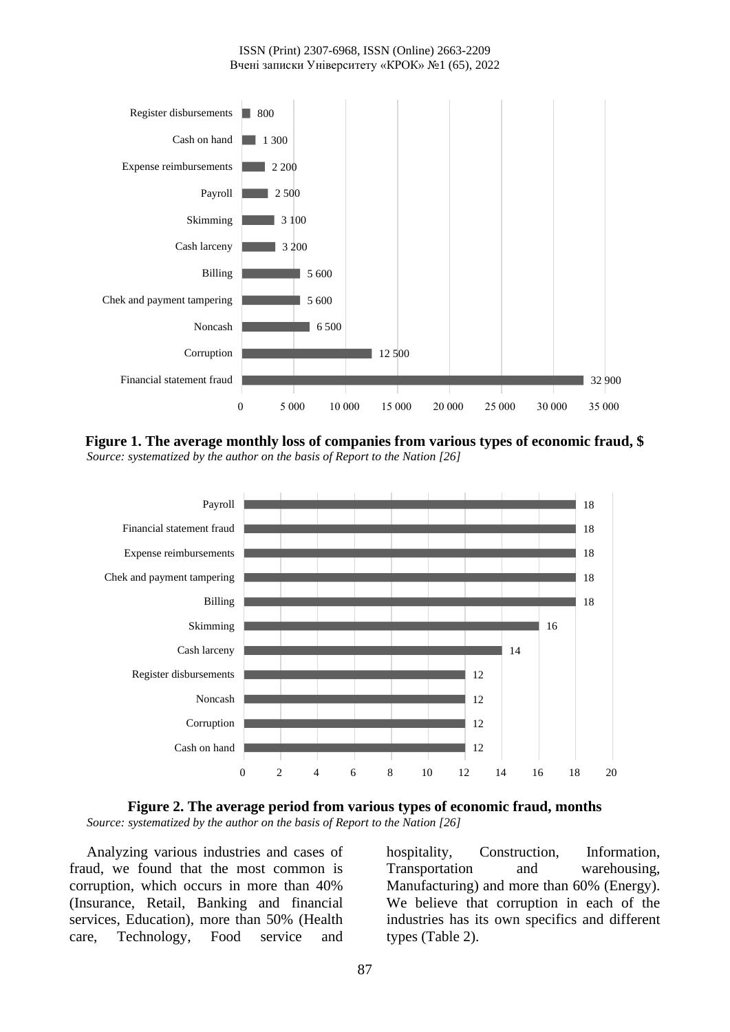

**Figure 1. The average monthly loss of companies from various types of economic fraud, \$** *Source: systematized by the author on the basis of Report to the Nation [26]*



**Figure 2. The average period from various types of economic fraud, months** *Source: systematized by the author on the basis of Report to the Nation [26]*

Analyzing various industries and cases of fraud, we found that the most common is corruption, which occurs in more than 40% (Insurance, Retail, Banking and financial services, Education), more than 50% (Health care, Technology, Food service and

hospitality, Construction, Information, Transportation and warehousing, Manufacturing) and more than 60% (Energy). We believe that corruption in each of the industries has its own specifics and different types (Table 2).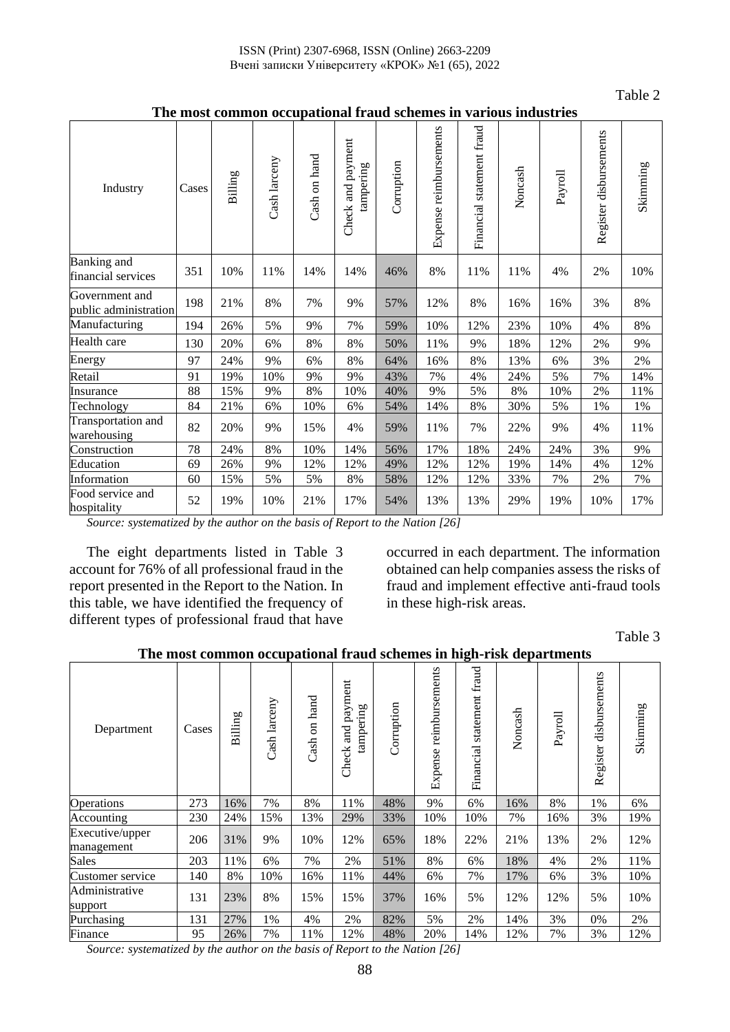Table 2

| Industry                                | Cases | Billing | Cash larceny | Cash on hand | Check and payment<br>tampering | Corruption | Expense reimbursements | Financial statement fraud | Noncash | Payroll | Register disbursements | Skimming |
|-----------------------------------------|-------|---------|--------------|--------------|--------------------------------|------------|------------------------|---------------------------|---------|---------|------------------------|----------|
| Banking and<br>financial services       | 351   | 10%     | 11%          | 14%          | 14%                            | 46%        | 8%                     | 11%                       | 11%     | 4%      | 2%                     | 10%      |
| Government and<br>public administration | 198   | 21%     | 8%           | 7%           | 9%                             | 57%        | 12%                    | $8\%$                     | 16%     | 16%     | 3%                     | 8%       |
| Manufacturing                           | 194   | 26%     | 5%           | 9%           | 7%                             | 59%        | 10%                    | 12%                       | 23%     | 10%     | 4%                     | 8%       |
| Health care                             | 130   | 20%     | 6%           | 8%           | 8%                             | 50%        | 11%                    | 9%                        | 18%     | 12%     | 2%                     | 9%       |
| Energy                                  | 97    | 24%     | 9%           | 6%           | 8%                             | 64%        | 16%                    | 8%                        | 13%     | 6%      | 3%                     | 2%       |
| Retail                                  | 91    | 19%     | 10%          | 9%           | 9%                             | 43%        | 7%                     | 4%                        | 24%     | 5%      | 7%                     | 14%      |
| Insurance                               | 88    | 15%     | 9%           | $8\%$        | 10%                            | 40%        | 9%                     | 5%                        | $8\%$   | 10%     | 2%                     | 11%      |
| Technology                              | 84    | 21%     | 6%           | 10%          | 6%                             | 54%        | 14%                    | $8\%$                     | 30%     | 5%      | $1\%$                  | $1\%$    |
| Transportation and<br>warehousing       | 82    | 20%     | 9%           | 15%          | 4%                             | 59%        | 11%                    | 7%                        | 22%     | 9%      | 4%                     | 11%      |
| Construction                            | 78    | 24%     | 8%           | 10%          | 14%                            | 56%        | 17%                    | 18%                       | 24%     | 24%     | 3%                     | 9%       |
| Education                               | 69    | 26%     | 9%           | 12%          | 12%                            | 49%        | 12%                    | 12%                       | 19%     | 14%     | 4%                     | 12%      |
| Information                             | 60    | 15%     | 5%           | 5%           | $8\%$                          | 58%        | 12%                    | 12%                       | 33%     | 7%      | 2%                     | 7%       |
| Food service and<br>hospitality         | 52    | 19%     | 10%          | 21%          | 17%                            | 54%        | 13%                    | 13%                       | 29%     | 19%     | 10%                    | 17%      |

**The most common occupational fraud schemes in various industries**

*Source: systematized by the author on the basis of Report to the Nation [26]*

The eight departments listed in Table 3 account for 76% of all professional fraud in the report presented in the Report to the Nation. In this table, we have identified the frequency of different types of professional fraud that have

occurred in each department. The information obtained can help companies assess the risks of fraud and implement effective anti-fraud tools in these high-risk areas.

Table 3

|                               | на поле социон оссирановат наца лененел не пізн аерагинено |         |              |                                |                                      |            |                        |                              |         |         |                           |          |
|-------------------------------|------------------------------------------------------------|---------|--------------|--------------------------------|--------------------------------------|------------|------------------------|------------------------------|---------|---------|---------------------------|----------|
| Department                    | Cases                                                      | Billing | Cash larceny | hand<br>$\overline{5}$<br>Cash | payment<br>tampering<br>and<br>Check | Corruption | Expense reimbursements | statement fraud<br>Financial | Noncash | Payroll | disbursements<br>Register | Skimming |
| Operations                    | 273                                                        | 16%     | 7%           | 8%                             | 11%                                  | 48%        | 9%                     | 6%                           | 16%     | 8%      | 1%                        | 6%       |
| Accounting                    | 230                                                        | 24%     | 15%          | 13%                            | 29%                                  | 33%        | 10%                    | 10%                          | 7%      | 16%     | 3%                        | 19%      |
| Executive/upper<br>management | 206                                                        | 31%     | 9%           | 10%                            | 12%                                  | 65%        | 18%                    | 22%                          | 21%     | 13%     | 2%                        | 12%      |
| <b>Sales</b>                  | 203                                                        | 11%     | 6%           | 7%                             | 2%                                   | 51%        | 8%                     | 6%                           | 18%     | 4%      | 2%                        | 11%      |
| Customer service              | 140                                                        | 8%      | 10%          | 16%                            | 11%                                  | 44%        | 6%                     | 7%                           | 17%     | 6%      | 3%                        | 10%      |
| Administrative<br>support     | 131                                                        | 23%     | 8%           | 15%                            | 15%                                  | 37%        | 16%                    | 5%                           | 12%     | 12%     | 5%                        | 10%      |
| Purchasing                    | 131                                                        | 27%     | 1%           | 4%                             | 2%                                   | 82%        | 5%                     | 2%                           | 14%     | 3%      | 0%                        | 2%       |
| Finance                       | 95                                                         | 26%     | 7%           | 11%                            | 12%                                  | 48%        | 20%                    | 14%                          | 12%     | 7%      | 3%                        | 12%      |

**The most common occupational fraud schemes in high-risk departments**

*Source: systematized by the author on the basis of Report to the Nation [26]*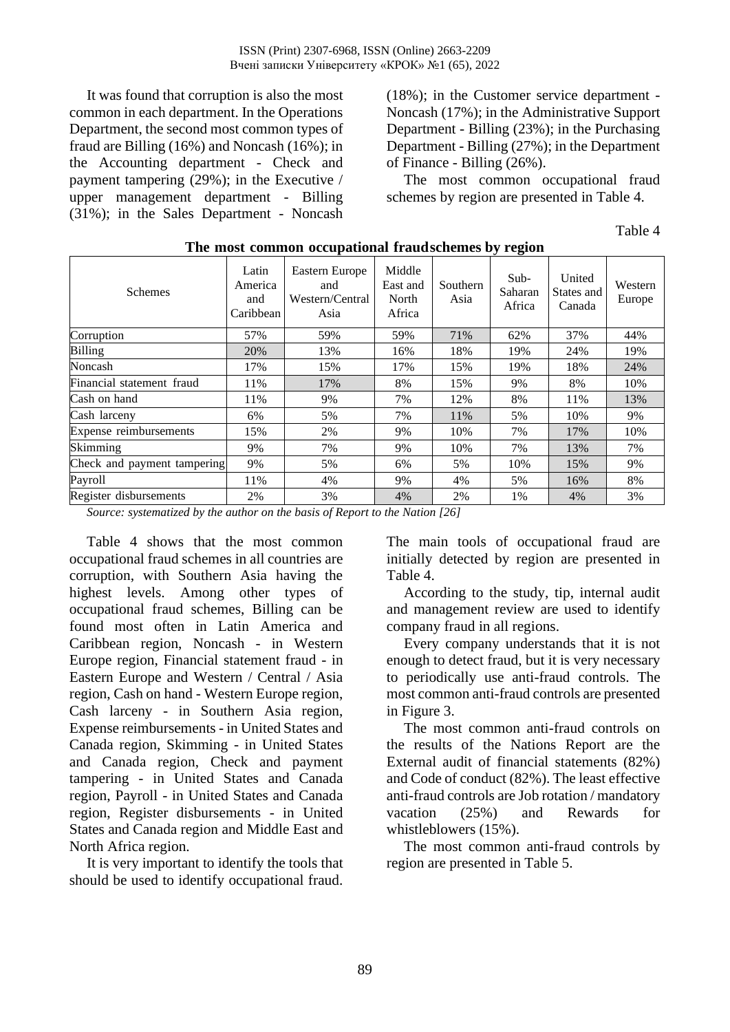It was found that corruption is also the most common in each department. In the Operations Department, the second most common types of fraud are Billing (16%) and Noncash (16%); in the Accounting department - Check and payment tampering (29%); in the Executive / upper management department - Billing (31%); in the Sales Department - Noncash (18%); in the Customer service department - Noncash (17%); in the Administrative Support Department - Billing (23%); in the Purchasing Department - Billing (27%); in the Department of Finance - Billing (26%).

The most common occupational fraud schemes by region are presented in Table 4.

Table 4

| <b>Schemes</b>              | Latin<br>America<br>and<br>Caribbean | Eastern Europe<br>and<br>Western/Central<br>Asia | Middle<br>East and<br>North<br>Africa | Southern<br>Asia | ັ<br>$Sub-$<br>Saharan<br>Africa | United<br>States and<br>Canada | Western<br>Europe |
|-----------------------------|--------------------------------------|--------------------------------------------------|---------------------------------------|------------------|----------------------------------|--------------------------------|-------------------|
| Corruption                  | 57%                                  | 59%                                              | 59%                                   | 71%              | 62%                              | 37%                            | 44%               |
| <b>Billing</b>              | 20%                                  | 13%                                              | 16%                                   | 18%              | 19%                              | 24%                            | 19%               |
| Noncash                     | 17%                                  | 15%                                              | 17%                                   | 15%              | 19%                              | 18%                            | 24%               |
| Financial statement fraud   | 11%                                  | 17%                                              | 8%                                    | 15%              | 9%                               | 8%                             | 10%               |
| Cash on hand                | 11%                                  | 9%                                               | 7%                                    | 12%              | 8%                               | 11%                            | 13%               |
| Cash larceny                | 6%                                   | 5%                                               | 7%                                    | 11%              | 5%                               | 10%                            | 9%                |
| Expense reimbursements      | 15%                                  | 2%                                               | 9%                                    | 10%              | 7%                               | 17%                            | 10%               |
| Skimming                    | 9%                                   | 7%                                               | 9%                                    | 10%              | 7%                               | 13%                            | 7%                |
| Check and payment tampering | 9%                                   | 5%                                               | 6%                                    | 5%               | 10%                              | 15%                            | 9%                |
| Payroll                     | 11%                                  | 4%                                               | 9%                                    | 4%               | 5%                               | 16%                            | 8%                |
| Register disbursements      | 2%                                   | 3%                                               | 4%                                    | 2%               | 1%                               | 4%                             | 3%                |

### **The most common occupational fraudschemes by region**

*Source: systematized by the author on the basis of Report to the Nation [26]*

Table 4 shows that the most common occupational fraud schemes in all countries are corruption, with Southern Asia having the highest levels. Among other types of occupational fraud schemes, Billing can be found most often in Latin America and Caribbean region, Noncash - in Western Europe region, Financial statement fraud - in Eastern Europe and Western / Central / Asia region, Cash on hand - Western Europe region, Cash larceny - in Southern Asia region, Expense reimbursements - in United States and Canada region, Skimming - in United States and Canada region, Check and payment tampering - in United States and Canada region, Payroll - in United States and Canada region, Register disbursements - in United States and Canada region and Middle East and North Africa region.

It is very important to identify the tools that should be used to identify occupational fraud.

The main tools of occupational fraud are initially detected by region are presented in Table 4.

According to the study, tip, internal audit and management review are used to identify company fraud in all regions.

Every company understands that it is not enough to detect fraud, but it is very necessary to periodically use anti-fraud controls. The most common anti-fraud controls are presented in Figure 3.

The most common anti-fraud controls on the results of the Nations Report are the External audit of financial statements (82%) and Code of conduct (82%). The least effective anti-fraud controls are Job rotation / mandatory vacation (25%) and Rewards for whistleblowers (15%).

The most common anti-fraud controls by region are presented in Table 5.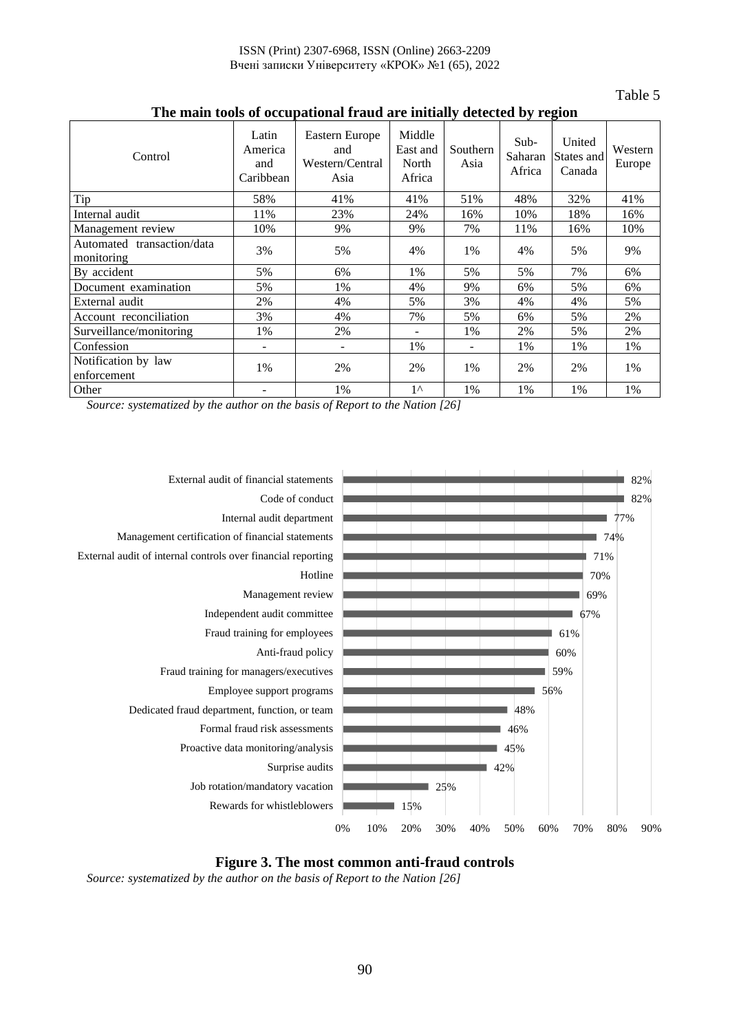Table 5

|                                          |                                      |                                                  |                                       |                  |                             | $\mathbf{\sigma}$              |                   |
|------------------------------------------|--------------------------------------|--------------------------------------------------|---------------------------------------|------------------|-----------------------------|--------------------------------|-------------------|
| Control                                  | Latin<br>America<br>and<br>Caribbean | Eastern Europe<br>and<br>Western/Central<br>Asia | Middle<br>East and<br>North<br>Africa | Southern<br>Asia | $Sub-$<br>Saharan<br>Africa | United<br>States and<br>Canada | Western<br>Europe |
| Tip                                      | 58%                                  | 41%                                              | 41%                                   | 51%              | 48%                         | 32%                            | 41%               |
| Internal audit                           | 11%                                  | 23%                                              | 24%                                   | 16%              | 10%                         | 18%                            | 16%               |
| Management review                        | 10%                                  | 9%                                               | 9%                                    | 7%               | 11%                         | 16%                            | 10%               |
| Automated transaction/data<br>monitoring | 3%                                   | 5%                                               | 4%                                    | 1%               | 4%                          | 5%                             | 9%                |
| By accident                              | 5%                                   | 6%                                               | 1%                                    | 5%               | 5%                          | 7%                             | 6%                |
| Document examination                     | 5%                                   | 1%                                               | 4%                                    | 9%               | 6%                          | 5%                             | 6%                |
| External audit                           | 2%                                   | 4%                                               | 5%                                    | 3%               | 4%                          | 4%                             | 5%                |
| Account reconciliation                   | 3%                                   | 4%                                               | 7%                                    | 5%               | 6%                          | 5%                             | 2%                |
| Surveillance/monitoring                  | 1%                                   | 2%                                               |                                       | 1%               | 2%                          | 5%                             | 2%                |
| Confession                               | -                                    | $\overline{\phantom{a}}$                         | 1%                                    |                  | 1%                          | 1%                             | 1%                |
| Notification by law<br>enforcement       | 1%                                   | 2%                                               | 2%                                    | 1%               | 2%                          | 2%                             | 1%                |
| Other                                    |                                      | 1%                                               | $1^{\wedge}$                          | 1%               | 1%                          | 1%                             | 1%                |

### **The main tools of occupational fraud are initially detected by region**

*Source: systematized by the author on the basis of Report to the Nation [26]*





*Source: systematized by the author on the basis of Report to the Nation [26]*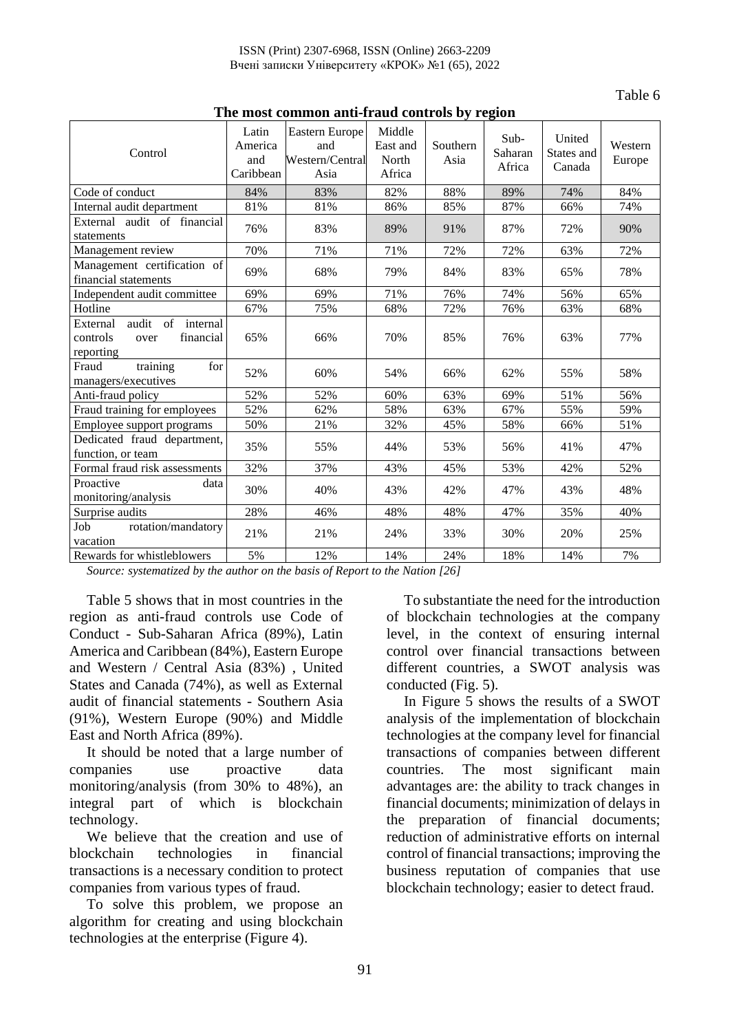| тие нюм соннцон ани-пайй сони ою бу тедон                                      |                                      |                                                  |                                       |                  |                           |                                |                   |
|--------------------------------------------------------------------------------|--------------------------------------|--------------------------------------------------|---------------------------------------|------------------|---------------------------|--------------------------------|-------------------|
| Control                                                                        | Latin<br>America<br>and<br>Caribbean | Eastern Europe<br>and<br>Western/Central<br>Asia | Middle<br>East and<br>North<br>Africa | Southern<br>Asia | Sub-<br>Saharan<br>Africa | United<br>States and<br>Canada | Western<br>Europe |
| Code of conduct                                                                | 84%                                  | 83%                                              | 82%                                   | 88%              | 89%                       | 74%                            | 84%               |
| Internal audit department                                                      | 81%                                  | 81%                                              | 86%                                   | 85%              | 87%                       | 66%                            | 74%               |
| External audit of financial<br>statements                                      | 76%                                  | 83%                                              | 89%                                   | 91%              | 87%                       | 72%                            | 90%               |
| Management review                                                              | 70%                                  | 71%                                              | 71%                                   | 72%              | 72%                       | 63%                            | 72%               |
| Management certification of<br>financial statements                            | 69%                                  | 68%                                              | 79%                                   | 84%              | 83%                       | 65%                            | 78%               |
| Independent audit committee                                                    | 69%                                  | 69%                                              | 71%                                   | 76%              | 74%                       | 56%                            | 65%               |
| Hotline                                                                        | 67%                                  | 75%                                              | 68%                                   | 72%              | 76%                       | 63%                            | 68%               |
| audit of<br>internal<br>External<br>controls<br>financial<br>over<br>reporting | 65%                                  | 66%                                              | 70%                                   | 85%              | 76%                       | 63%                            | 77%               |
| training<br>Fraud<br>for<br>managers/executives                                | 52%                                  | 60%                                              | 54%                                   | 66%              | 62%                       | 55%                            | 58%               |
| Anti-fraud policy                                                              | 52%                                  | 52%                                              | 60%                                   | 63%              | 69%                       | 51%                            | 56%               |
| Fraud training for employees                                                   | 52%                                  | 62%                                              | 58%                                   | 63%              | 67%                       | 55%                            | 59%               |
| Employee support programs                                                      | 50%                                  | 21%                                              | 32%                                   | 45%              | 58%                       | 66%                            | 51%               |
| Dedicated fraud department,<br>function, or team                               | 35%                                  | 55%                                              | 44%                                   | 53%              | 56%                       | 41%                            | 47%               |
| Formal fraud risk assessments                                                  | 32%                                  | 37%                                              | 43%                                   | 45%              | 53%                       | 42%                            | 52%               |
| Proactive<br>data<br>monitoring/analysis                                       | 30%                                  | 40%                                              | 43%                                   | 42%              | 47%                       | 43%                            | 48%               |
| Surprise audits                                                                | 28%                                  | 46%                                              | 48%                                   | 48%              | 47%                       | 35%                            | 40%               |
| rotation/mandatory<br>Job<br>vacation                                          | 21%                                  | 21%                                              | 24%                                   | 33%              | 30%                       | 20%                            | 25%               |
| Rewards for whistleblowers                                                     | 5%                                   | 12%                                              | 14%                                   | 24%              | 18%                       | 14%                            | 7%                |

**The most common anti-fraud controls by region**

*Source: systematized by the author on the basis of Report to the Nation [26]*

Table 5 shows that in most countries in the region as anti-fraud controls use Code of Conduct - Sub-Saharan Africa (89%), Latin America and Caribbean (84%), Eastern Europe and Western / Central Asia (83%) , United States and Canada (74%), as well as External audit of financial statements - Southern Asia (91%), Western Europe (90%) and Middle East and North Africa (89%).

It should be noted that a large number of companies use proactive data monitoring/analysis (from 30% to 48%), an integral part of which is blockchain technology.

We believe that the creation and use of blockchain technologies in financial transactions is a necessary condition to protect companies from various types of fraud.

To solve this problem, we propose an algorithm for creating and using blockchain technologies at the enterprise (Figure 4).

To substantiate the need for the introduction of blockchain technologies at the company level, in the context of ensuring internal control over financial transactions between different countries, a SWOT analysis was conducted (Fig. 5).

Table 6

In Figure 5 shows the results of a SWOT analysis of the implementation of blockchain technologies at the company level for financial transactions of companies between different countries. The most significant main advantages are: the ability to track changes in financial documents; minimization of delays in the preparation of financial documents; reduction of administrative efforts on internal control of financial transactions; improving the business reputation of companies that use blockchain technology; easier to detect fraud.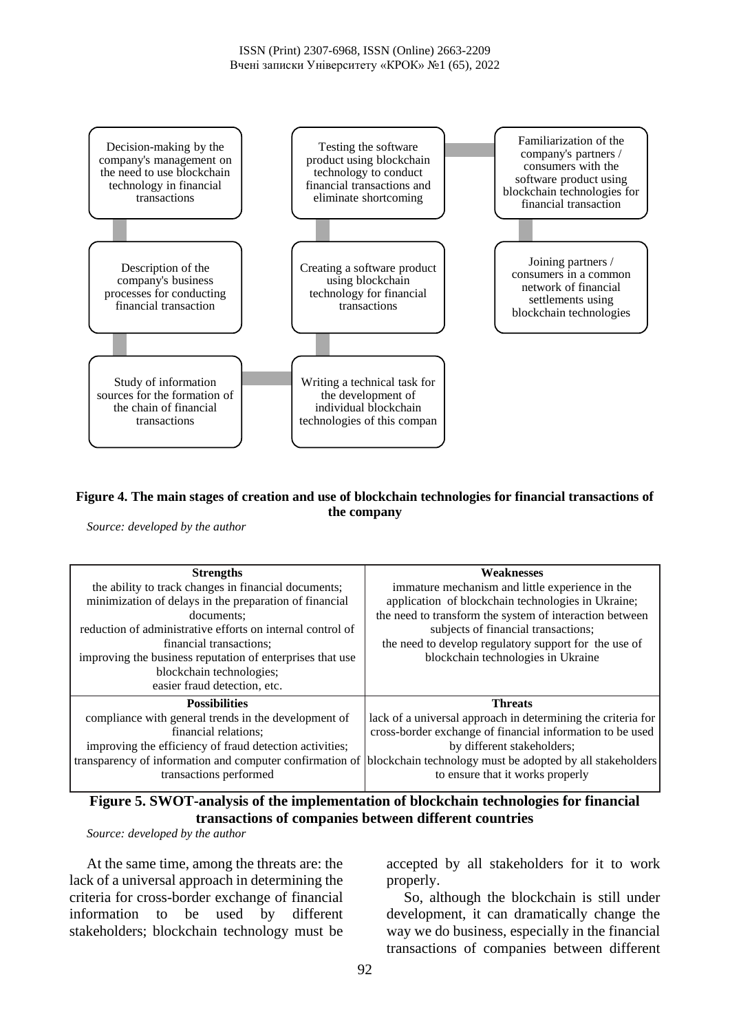

### **Figure 4. The main stages of creation and use of blockchain technologies for financial transactions of the company**

*Source: developed by the author*

| <b>Strengths</b>                                           | <b>Weaknesses</b>                                                                                                  |
|------------------------------------------------------------|--------------------------------------------------------------------------------------------------------------------|
| the ability to track changes in financial documents;       | immature mechanism and little experience in the                                                                    |
| minimization of delays in the preparation of financial     | application of blockchain technologies in Ukraine;                                                                 |
| documents:                                                 | the need to transform the system of interaction between                                                            |
| reduction of administrative efforts on internal control of | subjects of financial transactions;                                                                                |
| financial transactions:                                    | the need to develop regulatory support for the use of                                                              |
| improving the business reputation of enterprises that use  | blockchain technologies in Ukraine                                                                                 |
| blockchain technologies;                                   |                                                                                                                    |
| easier fraud detection, etc.                               |                                                                                                                    |
| <b>Possibilities</b>                                       | <b>Threats</b>                                                                                                     |
| compliance with general trends in the development of       | lack of a universal approach in determining the criteria for                                                       |
| financial relations:                                       | cross-border exchange of financial information to be used                                                          |
| improving the efficiency of fraud detection activities;    | by different stakeholders;                                                                                         |
|                                                            | transparency of information and computer confirmation of blockchain technology must be adopted by all stakeholders |
| transactions performed                                     | to ensure that it works properly                                                                                   |
|                                                            |                                                                                                                    |

## **Figure 5. SWOT-analysis of the implementation of blockchain technologies for financial transactions of companies between different countries**

*Source: developed by the author*

At the same time, among the threats are: the lack of a universal approach in determining the criteria for cross-border exchange of financial information to be used by different stakeholders; blockchain technology must be accepted by all stakeholders for it to work properly.

So, although the blockchain is still under development, it can dramatically change the way we do business, especially in the financial transactions of companies between different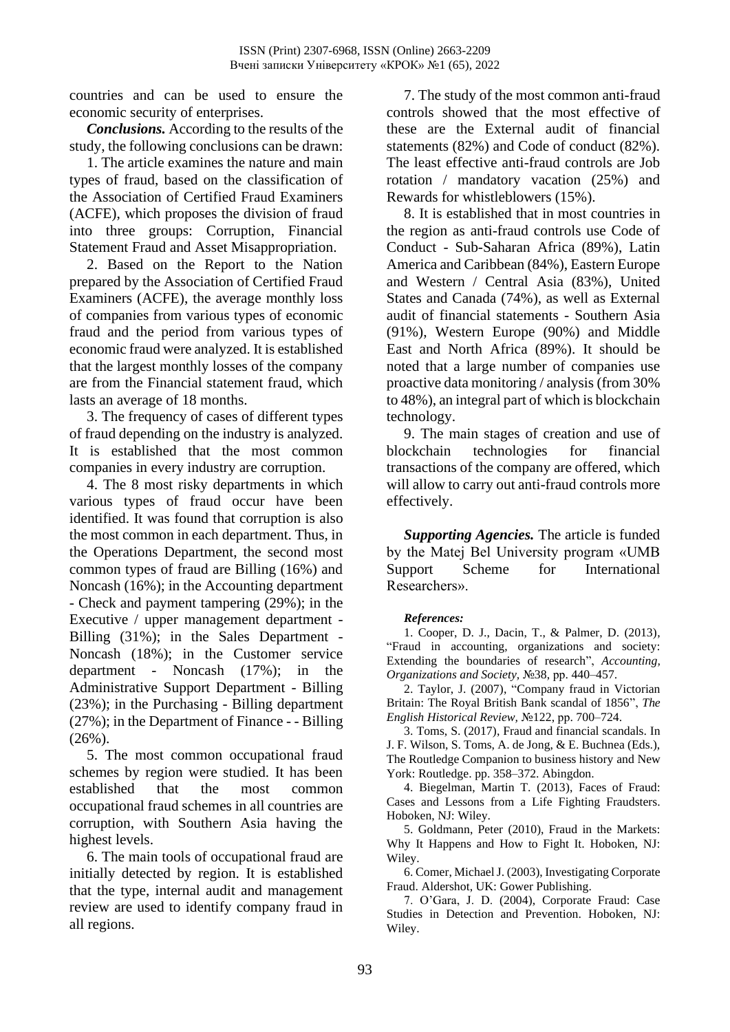countries and can be used to ensure the economic security of enterprises.

*Conclusions.* According to the results of the study, the following conclusions can be drawn:

1. The article examines the nature and main types of fraud, based on the classification of the Association of Certified Fraud Examiners (ACFE), which proposes the division of fraud into three groups: Corruption, Financial Statement Fraud and Asset Misappropriation.

2. Based on the Report to the Nation prepared by the Association of Certified Fraud Examiners (ACFE), the average monthly loss of companies from various types of economic fraud and the period from various types of economic fraud were analyzed. It is established that the largest monthly losses of the company are from the Financial statement fraud, which lasts an average of 18 months.

3. The frequency of cases of different types of fraud depending on the industry is analyzed. It is established that the most common companies in every industry are corruption.

4. The 8 most risky departments in which various types of fraud occur have been identified. It was found that corruption is also the most common in each department. Thus, in the Operations Department, the second most common types of fraud are Billing (16%) and Noncash (16%); in the Accounting department - Check and payment tampering (29%); in the Executive / upper management department - Billing (31%); in the Sales Department - Noncash (18%); in the Customer service department - Noncash (17%); in the Administrative Support Department - Billing (23%); in the Purchasing - Billing department (27%); in the Department of Finance - - Billing (26%).

5. The most common occupational fraud schemes by region were studied. It has been established that the most common occupational fraud schemes in all countries are corruption, with Southern Asia having the highest levels.

6. The main tools of occupational fraud are initially detected by region. It is established that the type, internal audit and management review are used to identify company fraud in all regions.

7. The study of the most common anti-fraud controls showed that the most effective of these are the External audit of financial statements (82%) and Code of conduct (82%). The least effective anti-fraud controls are Job rotation / mandatory vacation (25%) and Rewards for whistleblowers (15%).

8. It is established that in most countries in the region as anti-fraud controls use Code of Conduct - Sub-Saharan Africa (89%), Latin America and Caribbean (84%), Eastern Europe and Western / Central Asia (83%), United States and Canada (74%), as well as External audit of financial statements - Southern Asia (91%), Western Europe (90%) and Middle East and North Africa (89%). It should be noted that a large number of companies use proactive data monitoring / analysis (from 30% to 48%), an integral part of which is blockchain technology.

9. The main stages of creation and use of blockchain technologies for financial transactions of the company are offered, which will allow to carry out anti-fraud controls more effectively.

*Supporting Agencies.* The article is funded by the Matej Bel University program «UMB Support Scheme for International Researchers».

### *References:*

1. Cooper, D. J., Dacin, T., & Palmer, D. (2013), "Fraud in accounting, organizations and society: Extending the boundaries of research", *Accounting, Organizations and Society,* №38, рр. 440–457.

2. Taylor, J. (2007), "Company fraud in Victorian Britain: The Royal British Bank scandal of 1856", *The English Historical Review,* №122, рр. 700–724.

3. Toms, S. (2017), Fraud and financial scandals. In J. F. Wilson, S. Toms, A. de Jong, & E. Buchnea (Eds.), The Routledge Companion to business history and New York: Routledge. pp. 358–372. Abingdon.

4. Biegelman, Martin T. (2013), Faces of Fraud: Cases and Lessons from a Life Fighting Fraudsters. Hoboken, NJ: Wiley.

5. Goldmann, Peter (2010), Fraud in the Markets: Why It Happens and How to Fight It. Hoboken, NJ: Wiley.

6. Comer, Michael J. (2003), Investigating Corporate Fraud. Aldershot, UK: Gower Publishing.

7. O'Gara, J. D. (2004), Corporate Fraud: Case Studies in Detection and Prevention. Hoboken, NJ: Wiley.